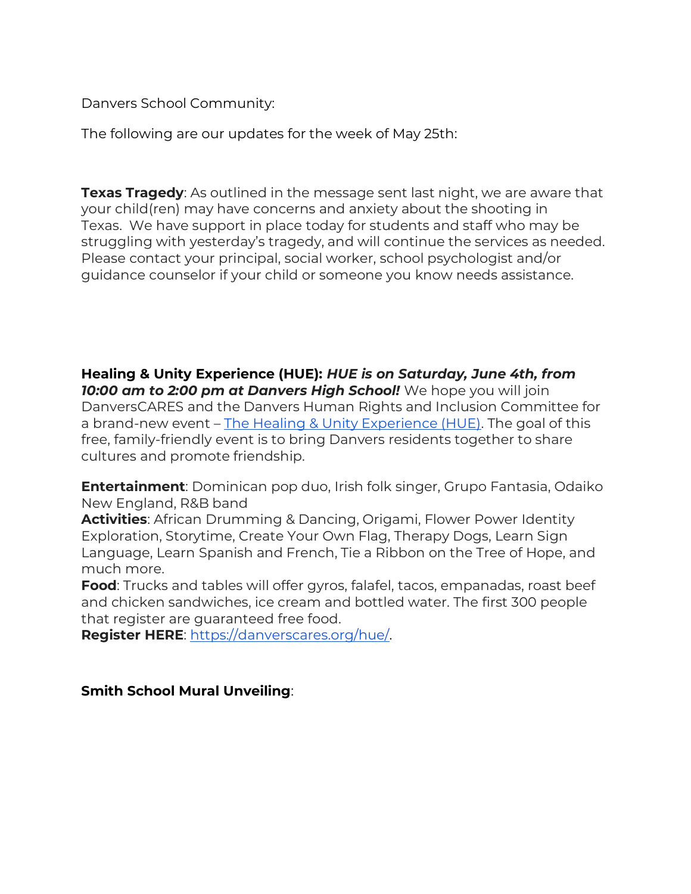Danvers School Community:

The following are our updates for the week of May 25th:

**Texas Tragedy**: As outlined in the message sent last night, we are aware that your child(ren) may have concerns and anxiety about the shooting in Texas. We have support in place today for students and staff who may be struggling with yesterday's tragedy, and will continue the services as needed. Please contact your principal, social worker, school psychologist and/or guidance counselor if your child or someone you know needs assistance.

**Healing & Unity Experience (HUE):** *HUE is on Saturday, June 4th, from 10:00 am to 2:00 pm at Danvers High School!* We hope you will join DanversCARES and the Danvers Human Rights and Inclusion Committee for a brand-new event – [The Healing & Unity Experience \(HUE\).](https://drive.google.com/file/d/11h3J0V02E5-Sjw1OqeXOhJvz0PCWyEw9/view?usp=sharing) The goal of this free, family-friendly event is to bring Danvers residents together to share cultures and promote friendship.

**Entertainment**: Dominican pop duo, Irish folk singer, Grupo Fantasia, Odaiko New England, R&B band

**Activities**: African Drumming & Dancing, Origami, Flower Power Identity Exploration, Storytime, Create Your Own Flag, Therapy Dogs, Learn Sign Language, Learn Spanish and French, Tie a Ribbon on the Tree of Hope, and much more.

**Food**: Trucks and tables will offer gyros, falafel, tacos, empanadas, roast beef and chicken sandwiches, ice cream and bottled water. The first 300 people that register are guaranteed free food.

**Register HERE**: [https://danverscares.org/hue/.](https://danverscares.org/hue/)

**Smith School Mural Unveiling**: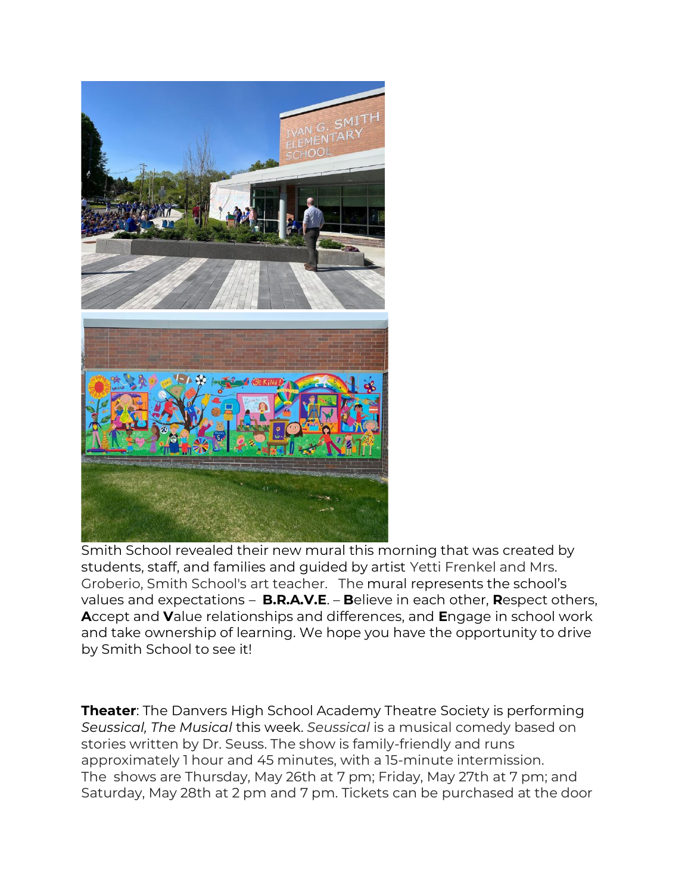

Smith School revealed their new mural this morning that was created by students, staff, and families and guided by artist Yetti Frenkel and Mrs. Groberio, Smith School's art teacher. The mural represents the school's values and expectations – **B.R.A.V.E**. – **B**elieve in each other, **R**espect others, **A**ccept and **V**alue relationships and differences, and **E**ngage in school work and take ownership of learning. We hope you have the opportunity to drive by Smith School to see it!

**Theater**: The Danvers High School Academy Theatre Society is performing *Seussical, The Musical* this week. *Seussical* is a musical comedy based on stories written by Dr. Seuss. The show is family-friendly and runs approximately 1 hour and 45 minutes, with a 15-minute intermission. The shows are Thursday, May 26th at 7 pm; Friday, May 27th at 7 pm; and Saturday, May 28th at 2 pm and 7 pm. Tickets can be purchased at the door